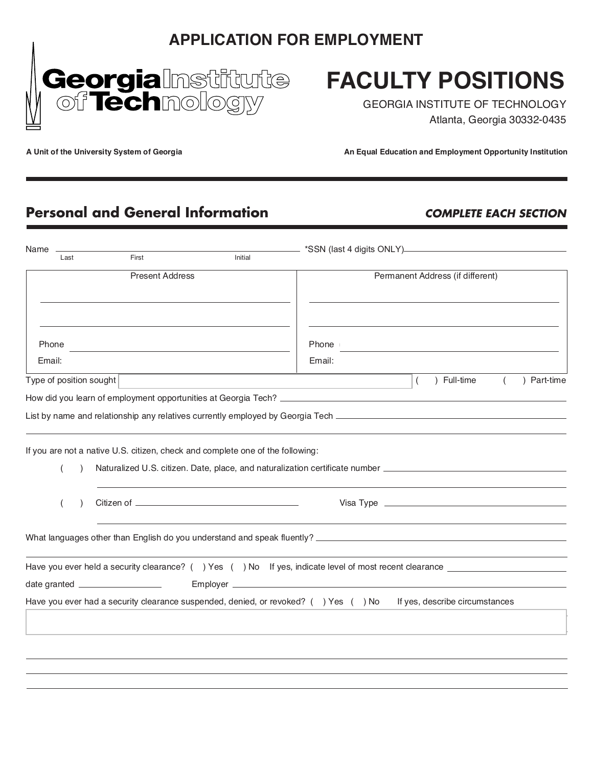## *APPLICATION FOR EMPLOYMENT*



# *FACULTY POSITIONS*

GEORGIA INSTITUTE OF TECHNOLOGY Atlanta, Georgia 30332-0435

**A Unit of the University System of Georgia An Equal Education and Employment Opportunity Institution**

# **Personal and General Information COMPLETE EACH SECTION**

| Name                    |                                                                                |         |                                                                                                                                                                                                                                |  |
|-------------------------|--------------------------------------------------------------------------------|---------|--------------------------------------------------------------------------------------------------------------------------------------------------------------------------------------------------------------------------------|--|
| Last                    | First                                                                          | Initial |                                                                                                                                                                                                                                |  |
| <b>Present Address</b>  |                                                                                |         | Permanent Address (if different)                                                                                                                                                                                               |  |
|                         |                                                                                |         |                                                                                                                                                                                                                                |  |
| Phone                   |                                                                                |         | Phone                                                                                                                                                                                                                          |  |
| Email:                  |                                                                                |         | Email:                                                                                                                                                                                                                         |  |
| Type of position sought |                                                                                |         | ) Full-time<br>) Part-time<br>$\overline{ }$<br>$\left($                                                                                                                                                                       |  |
|                         |                                                                                |         |                                                                                                                                                                                                                                |  |
|                         |                                                                                |         |                                                                                                                                                                                                                                |  |
|                         |                                                                                |         |                                                                                                                                                                                                                                |  |
|                         | If you are not a native U.S. citizen, check and complete one of the following: |         |                                                                                                                                                                                                                                |  |
|                         |                                                                                |         | Naturalized U.S. citizen. Date, place, and naturalization certificate number ________________________________                                                                                                                  |  |
|                         |                                                                                |         |                                                                                                                                                                                                                                |  |
|                         |                                                                                |         |                                                                                                                                                                                                                                |  |
|                         |                                                                                |         |                                                                                                                                                                                                                                |  |
|                         |                                                                                |         | What languages other than English do you understand and speak fluently? [19] Maximum and the summan was a series of the state of the state of the state of the state of the state of the state of the state of the state of th |  |
|                         |                                                                                |         | Have you ever held a security clearance? () Yes () No If yes, indicate level of most recent clearance                                                                                                                          |  |
|                         |                                                                                |         |                                                                                                                                                                                                                                |  |
|                         |                                                                                |         | Have you ever had a security clearance suspended, denied, or revoked? () Yes () No<br>If yes, describe circumstances                                                                                                           |  |
|                         |                                                                                |         |                                                                                                                                                                                                                                |  |
|                         |                                                                                |         |                                                                                                                                                                                                                                |  |
|                         |                                                                                |         |                                                                                                                                                                                                                                |  |
|                         |                                                                                |         |                                                                                                                                                                                                                                |  |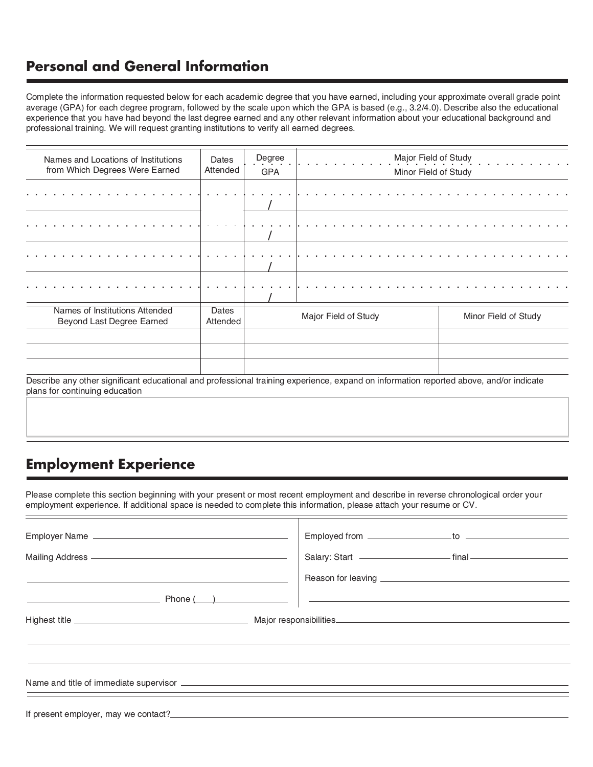#### **Personal and General Information**

Complete the information requested below for each academic degree that you have earned, including your approximate overall grade point average (GPA) for each degree program, followed by the scale upon which the GPA is based (e.g., 3.2/4.0). Describe also the educational experience that you have had beyond the last degree earned and any other relevant information about your educational background and professional training. We will request granting institutions to verify all earned degrees.

| Names and Locations of Institutions<br>from Which Degrees Were Earned | Dates<br>Attended | Degree<br><b>GPA</b> | Major Field of Study<br>Minor Field of Study |
|-----------------------------------------------------------------------|-------------------|----------------------|----------------------------------------------|
|                                                                       |                   |                      |                                              |
|                                                                       |                   |                      |                                              |
| a construction of the control of the con-                             |                   |                      |                                              |
|                                                                       |                   |                      |                                              |
|                                                                       |                   |                      |                                              |
|                                                                       |                   |                      |                                              |
| Names of Institutions Attended<br>Beyond Last Degree Earned           | Dates<br>Attended |                      | Major Field of Study<br>Minor Field of Study |
|                                                                       |                   |                      |                                              |
|                                                                       |                   |                      |                                              |
|                                                                       |                   |                      |                                              |

Describe any other significant educational and professional training experience, expand on information reported above, and/or indicate plans for continuing education

### **Employment Experience**

Please complete this section beginning with your present or most recent employment and describe in reverse chronological order your employment experience. If additional space is needed to complete this information, please attach your resume or CV.

| Salary: Start ————————————— final ———————————— |
|------------------------------------------------|
|                                                |
|                                                |
|                                                |
|                                                |
|                                                |
|                                                |
|                                                |
|                                                |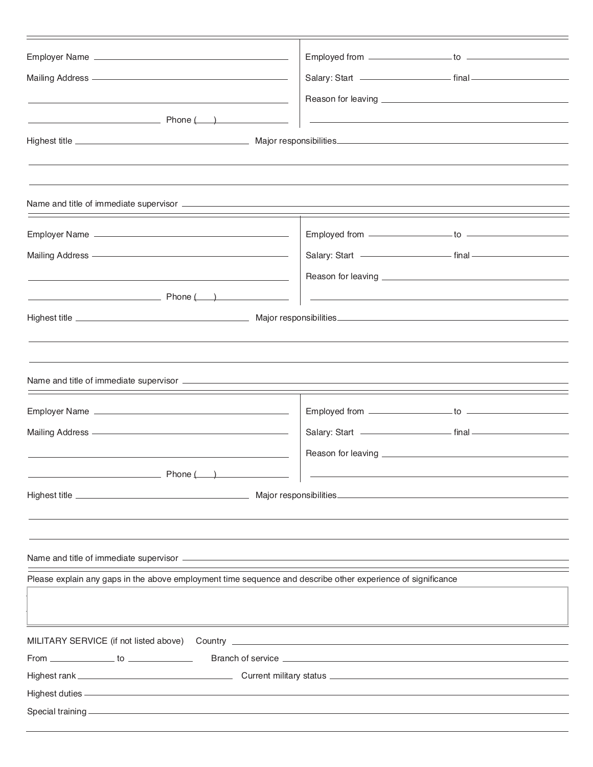| Employer Name                                                                                                                                                                                                                        |                                                                                                                        |
|--------------------------------------------------------------------------------------------------------------------------------------------------------------------------------------------------------------------------------------|------------------------------------------------------------------------------------------------------------------------|
| Mailing Address <b>Mailing Address Mailing Address Mailing Address</b>                                                                                                                                                               |                                                                                                                        |
| the control of the control of the control of the control of the control of the control of                                                                                                                                            |                                                                                                                        |
| $P$ hone $(\_\_\_)$                                                                                                                                                                                                                  | <u> 1989 - Johann John Stone, markin sanadi amerikan bahasa dalam pengaran sebagai pengaran sebagai pengaran seba</u>  |
|                                                                                                                                                                                                                                      |                                                                                                                        |
|                                                                                                                                                                                                                                      |                                                                                                                        |
|                                                                                                                                                                                                                                      |                                                                                                                        |
|                                                                                                                                                                                                                                      |                                                                                                                        |
|                                                                                                                                                                                                                                      |                                                                                                                        |
|                                                                                                                                                                                                                                      |                                                                                                                        |
| Mailing Address <b>  William   Mailing Address   William   William   William   William   William   William   William   William   William   William   William   William   William   William   William   William   William   Willi</b> | Salary: Start ————————————— final —————————————                                                                        |
| <u> 1980 - Johann Barn, amerikansk politiker (d. 1980)</u>                                                                                                                                                                           |                                                                                                                        |
| $Phone($ $)$                                                                                                                                                                                                                         | <u> 1980 - Andrea Station, amerikansk politik (d. 1980)</u>                                                            |
|                                                                                                                                                                                                                                      |                                                                                                                        |
|                                                                                                                                                                                                                                      |                                                                                                                        |
|                                                                                                                                                                                                                                      |                                                                                                                        |
|                                                                                                                                                                                                                                      |                                                                                                                        |
|                                                                                                                                                                                                                                      |                                                                                                                        |
|                                                                                                                                                                                                                                      |                                                                                                                        |
|                                                                                                                                                                                                                                      | Salary: Start <u>- Communication</u> final - Communication of the Salary: Start - Communication of the Salary: Start - |
|                                                                                                                                                                                                                                      |                                                                                                                        |
| $P$ hone $($                                                                                                                                                                                                                         |                                                                                                                        |
|                                                                                                                                                                                                                                      |                                                                                                                        |
|                                                                                                                                                                                                                                      |                                                                                                                        |
|                                                                                                                                                                                                                                      |                                                                                                                        |
|                                                                                                                                                                                                                                      |                                                                                                                        |
|                                                                                                                                                                                                                                      |                                                                                                                        |
| Please explain any gaps in the above employment time sequence and describe other experience of significance                                                                                                                          |                                                                                                                        |
|                                                                                                                                                                                                                                      |                                                                                                                        |
|                                                                                                                                                                                                                                      |                                                                                                                        |
|                                                                                                                                                                                                                                      |                                                                                                                        |
|                                                                                                                                                                                                                                      |                                                                                                                        |
|                                                                                                                                                                                                                                      |                                                                                                                        |
|                                                                                                                                                                                                                                      |                                                                                                                        |
|                                                                                                                                                                                                                                      |                                                                                                                        |